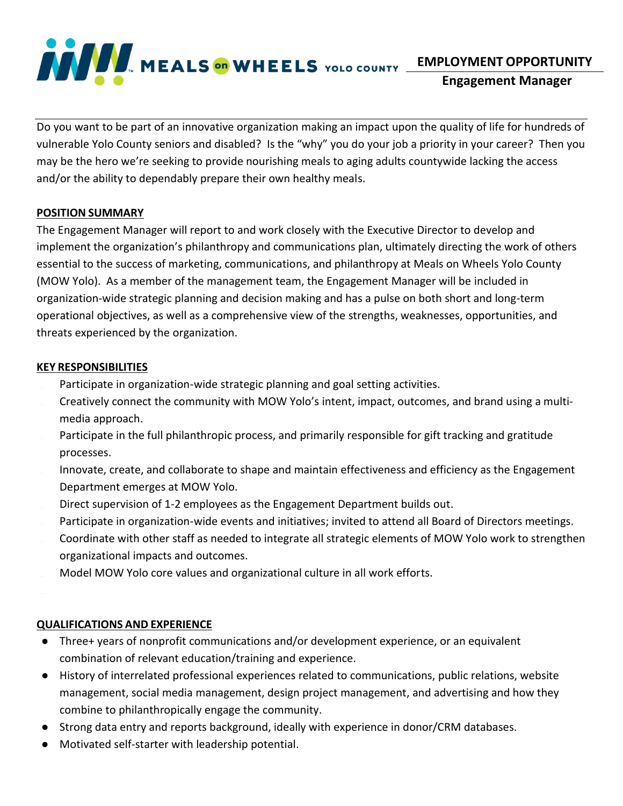

**EMPLOYMENT OPPORTUNITY**

**Engagement Manager**

Do you want to be part of an innovative organization making an impact upon the quality of life for hundreds of vulnerable Yolo County seniors and disabled? Is the "why" you do your job a priority in your career? Then you may be the hero we're seeking to provide nourishing meals to aging adults countywide lacking the access and/or the ability to dependably prepare their own healthy meals.

## **POSITION SUMMARY**

The Engagement Manager will report to and work closely with the Executive Director to develop and implement the organization's philanthropy and communications plan, ultimately directing the work of others essential to the success of marketing, communications, and philanthropy at Meals on Wheels Yolo County (MOW Yolo). As a member of the management team, the Engagement Manager will be included in organization-wide strategic planning and decision making and has a pulse on both short and long-term operational objectives, as well as a comprehensive view of the strengths, weaknesses, opportunities, and threats experienced by the organization.

## **KEY RESPONSIBILITIES**

- Participate in organization-wide strategic planning and goal setting activities.
- Creatively connect the community with MOW Yolo's intent, impact, outcomes, and brand using a multimedia approach.
- Participate in the full philanthropic process, and primarily responsible for gift tracking and gratitude processes.
- Innovate, create, and collaborate to shape and maintain effectiveness and efficiency as the Engagement Department emerges at MOW Yolo.
- Direct supervision of 1-2 employees as the Engagement Department builds out.
- Participate in organization-wide events and initiatives; invited to attend all Board of Directors meetings.
- Coordinate with other staff as needed to integrate all strategic elements of MOW Yolo work to strengthen organizational impacts and outcomes.
- Model MOW Yolo core values and organizational culture in all work efforts.

# **QUALIFICATIONS AND EXPERIENCE**

- Three+ years of nonprofit communications and/or development experience, or an equivalent combination of relevant education/training and experience.
- History of interrelated professional experiences related to communications, public relations, website management, social media management, design project management, and advertising and how they combine to philanthropically engage the community.
- Strong data entry and reports background, ideally with experience in donor/CRM databases.
- Motivated self-starter with leadership potential.